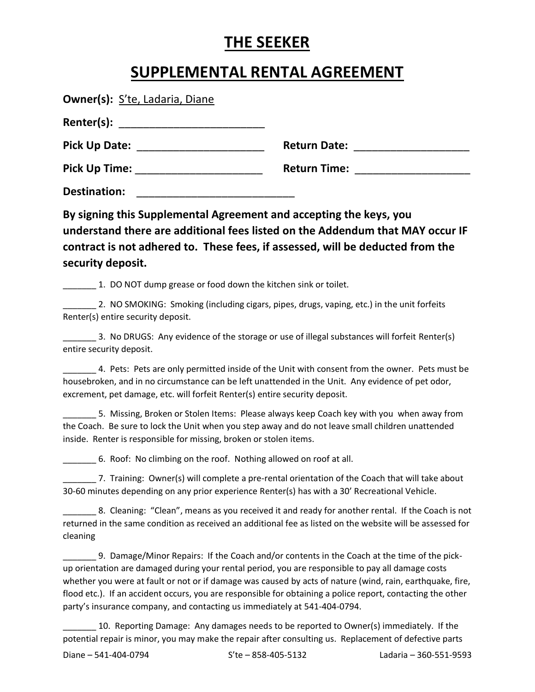# **THE SEEKER**

# **SUPPLEMENTAL RENTAL AGREEMENT**

| Owner(s): S'te, Ladaria, Diane                                     |                                                                                |
|--------------------------------------------------------------------|--------------------------------------------------------------------------------|
| Renter(s): ________________________________                        |                                                                                |
|                                                                    |                                                                                |
| Pick Up Time: _________________________                            | Return Time: _____________________                                             |
|                                                                    |                                                                                |
| By signing this Supplemental Agreement and accepting the keys, you | understand there are additional fees listed on the Addendum that MAY occur IF  |
|                                                                    | contract is not adhered to. These fees, if assessed, will be deducted from the |

**security deposit.**

1. DO NOT dump grease or food down the kitchen sink or toilet.

\_\_\_\_\_\_\_ 2. NO SMOKING: Smoking (including cigars, pipes, drugs, vaping, etc.) in the unit forfeits Renter(s) entire security deposit.

3. No DRUGS: Any evidence of the storage or use of illegal substances will forfeit Renter(s) entire security deposit.

\_\_\_\_\_\_\_ 4. Pets: Pets are only permitted inside of the Unit with consent from the owner. Pets must be housebroken, and in no circumstance can be left unattended in the Unit. Any evidence of pet odor, excrement, pet damage, etc. will forfeit Renter(s) entire security deposit.

\_\_\_\_\_\_\_ 5. Missing, Broken or Stolen Items: Please always keep Coach key with you when away from the Coach. Be sure to lock the Unit when you step away and do not leave small children unattended inside. Renter is responsible for missing, broken or stolen items.

\_\_\_\_\_\_\_ 6. Roof: No climbing on the roof. Nothing allowed on roof at all.

\_\_\_\_\_\_\_ 7. Training: Owner(s) will complete a pre-rental orientation of the Coach that will take about 30-60 minutes depending on any prior experience Renter(s) has with a 30' Recreational Vehicle.

8. Cleaning: "Clean", means as you received it and ready for another rental. If the Coach is not returned in the same condition as received an additional fee as listed on the website will be assessed for cleaning

\_\_\_\_\_\_\_ 9. Damage/Minor Repairs: If the Coach and/or contents in the Coach at the time of the pickup orientation are damaged during your rental period, you are responsible to pay all damage costs whether you were at fault or not or if damage was caused by acts of nature (wind, rain, earthquake, fire, flood etc.). If an accident occurs, you are responsible for obtaining a police report, contacting the other party's insurance company, and contacting us immediately at 541-404-0794.

10. Reporting Damage: Any damages needs to be reported to Owner(s) immediately. If the potential repair is minor, you may make the repair after consulting us. Replacement of defective parts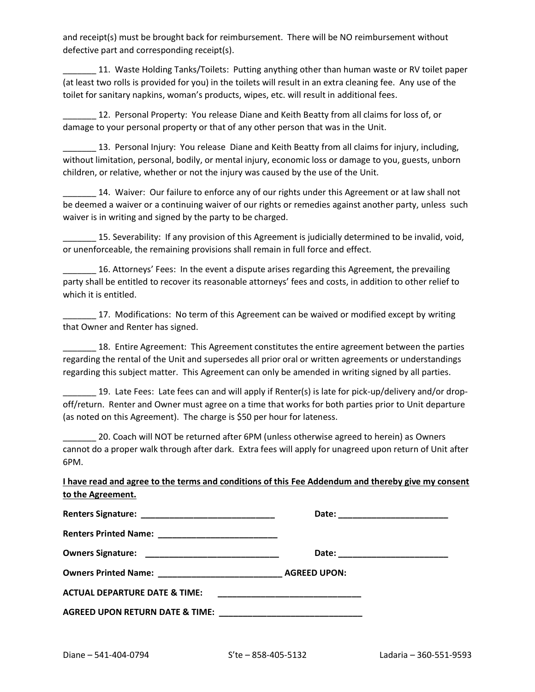and receipt(s) must be brought back for reimbursement. There will be NO reimbursement without defective part and corresponding receipt(s).

11. Waste Holding Tanks/Toilets: Putting anything other than human waste or RV toilet paper (at least two rolls is provided for you) in the toilets will result in an extra cleaning fee. Any use of the toilet for sanitary napkins, woman's products, wipes, etc. will result in additional fees.

12. Personal Property: You release Diane and Keith Beatty from all claims for loss of, or damage to your personal property or that of any other person that was in the Unit.

\_\_\_\_\_\_\_ 13. Personal Injury: You release Diane and Keith Beatty from all claims for injury, including, without limitation, personal, bodily, or mental injury, economic loss or damage to you, guests, unborn children, or relative, whether or not the injury was caused by the use of the Unit.

14. Waiver: Our failure to enforce any of our rights under this Agreement or at law shall not be deemed a waiver or a continuing waiver of our rights or remedies against another party, unless such waiver is in writing and signed by the party to be charged.

\_\_\_\_\_\_\_ 15. Severability: If any provision of this Agreement is judicially determined to be invalid, void, or unenforceable, the remaining provisions shall remain in full force and effect.

16. Attorneys' Fees: In the event a dispute arises regarding this Agreement, the prevailing party shall be entitled to recover its reasonable attorneys' fees and costs, in addition to other relief to which it is entitled.

17. Modifications: No term of this Agreement can be waived or modified except by writing that Owner and Renter has signed.

18. Entire Agreement: This Agreement constitutes the entire agreement between the parties regarding the rental of the Unit and supersedes all prior oral or written agreements or understandings regarding this subject matter. This Agreement can only be amended in writing signed by all parties.

19. Late Fees: Late fees can and will apply if Renter(s) is late for pick-up/delivery and/or dropoff/return. Renter and Owner must agree on a time that works for both parties prior to Unit departure (as noted on this Agreement). The charge is \$50 per hour for lateness.

20. Coach will NOT be returned after 6PM (unless otherwise agreed to herein) as Owners cannot do a proper walk through after dark. Extra fees will apply for unagreed upon return of Unit after 6PM.

### **I have read and agree to the terms and conditions of this Fee Addendum and thereby give my consent to the Agreement.**

|                                          | Date: __________________________ |
|------------------------------------------|----------------------------------|
|                                          |                                  |
| <b>ACTUAL DEPARTURE DATE &amp; TIME:</b> |                                  |
|                                          |                                  |